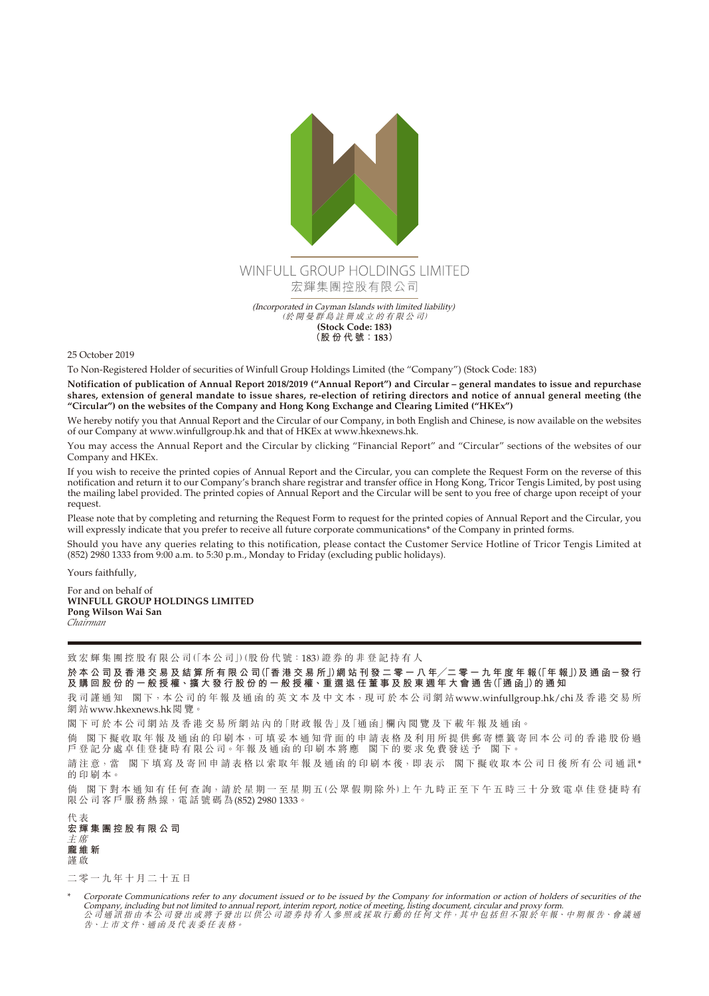

25 October 2019

To Non-Registered Holder of securities of Winfull Group Holdings Limited (the "Company") (Stock Code: 183)

**Notification of publication of Annual Report 2018/2019 ("Annual Report") and Circular – general mandates to issue and repurchase shares, extension of general mandate to issue shares, re-election of retiring directors and notice of annual general meeting (the "Circular") on the websites of the Company and Hong Kong Exchange and Clearing Limited ("HKEx")**

We hereby notify you that Annual Report and the Circular of our Company, in both English and Chinese, is now available on the websites of our Company at www.winfullgroup.hk and that of HKEx at www.hkexnews.hk.

You may access the Annual Report and the Circular by clicking "Financial Report" and "Circular" sections of the websites of our Company and HKEx.

If you wish to receive the printed copies of Annual Report and the Circular, you can complete the Request Form on the reverse of this notification and return it to our Company's branch share registrar and transfer office in Hong Kong, Tricor Tengis Limited, by post using the mailing label provided. The printed copies of Annual Report and the Circular will be sent to you free of charge upon receipt of your request.

Please note that by completing and returning the Request Form to request for the printed copies of Annual Report and the Circular, you will expressly indicate that you prefer to receive all future corporate communications\* of the Company in printed forms.

Should you have any queries relating to this notification, please contact the Customer Service Hotline of Tricor Tengis Limited at (852) 2980 1333 from 9:00 a.m. to 5:30 p.m., Monday to Friday (excluding public holidays).

Yours faithfully,

For and on behalf of **WINFULL GROUP HOLDINGS LIMITED Pong Wilson Wai San** *Chairman*

致宏輝集團控股有限公司(「本公司」)(股份代號:183)證券的非登記持有人

於本公司及香港交易及結算所有限公司(「香港交易所」)網站刊發二零一八年/二零一九年度年報(「年報」)及通函-發行 及 購 回 股 份 的 一 般 授 權、擴 大 發 行 股 份 的 一 般 授 權、重 選 退 任 董 事 及 股 東 週 年 大 會 通 告 (「通 函 」) 的 通 知

我司謹通知 閣下,本公司的年報及通函的英文本及中文本,現可於本公司網站[www.winfullgroup.hk/chi](http://www.winfullgroup.hk/chi/)及香港交易所 網 站[www.hkexnews.hk](https://www.hkexnews.hk/)閱 覽。

閣 下 可 於 本 公 司 網 站 及 香 港 交 易 所 網 站 內 的「財 政 報 告」及「通 函」欄 內 閱 覽 及 下 載 年 報 及 通 函。

倘 閣下擬收取年報及通函的印刷本,可填妥本通知背面的申請表格及利用所提供郵寄標籤寄回本公司的香港股份過 戶登記分處卓佳登捷時有限公司。年報及通函的印刷本將應 閣下的要求免費發送予 閣下。

請注意,當 閣下填寫及寄回申請表格以索取年報及通函的印刷本後,即表示 閣下擬收取本公司日後所有公司通訊\* 的印刷本。

倘 閣下對本通知有任何查詢,請於星期一至星期五(公眾假期除外)上午九時正至下午五時三十分致電卓佳登捷時有 限公司客戶服務熱線,電話號碼為(852) 2980 1333。

代 表 **宏輝集團控股有限公司** 主 席 **龐維新** 謹 啟

二零一九年十月二十五日

Corporate Communications refer to any document issued or to be issued by the Company for information or action of holders of securities of the Company, including but not limited to annual report, interim report, notice of meeting, listing document, circular and proxy form.<br>公司通訊指由本公司發出或將予發出以供公司證券持有人參照或採取行動的任何文件,其中包括但不限於年報、中期報告、會議通 告、上 市 文 件、通 函 及 代 表 委 任 表 格。